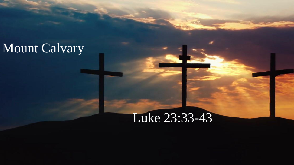## Mount Calvary

## Luke 23:33-43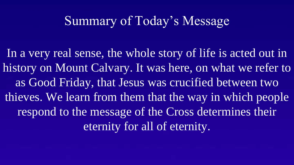## Summary of Today's Message

In a very real sense, the whole story of life is acted out in history on Mount Calvary. It was here, on what we refer to as Good Friday, that Jesus was crucified between two thieves. We learn from them that the way in which people respond to the message of the Cross determines their eternity for all of eternity.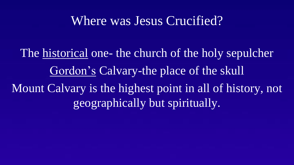#### Where was Jesus Crucified?

The <u>historical</u> one- the church of the holy sepulcher Gordon's Calvary-the place of the skull Mount Calvary is the highest point in all of history, not geographically but spiritually.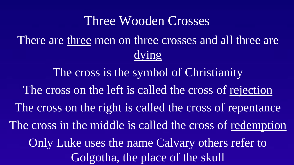#### Three Wooden Crosses

There are three men on three crosses and all three are dying

The cross is the symbol of Christianity The cross on the left is called the cross of rejection The cross on the right is called the cross of repentance The cross in the middle is called the cross of redemption Only Luke uses the name Calvary others refer to Golgotha, the place of the skull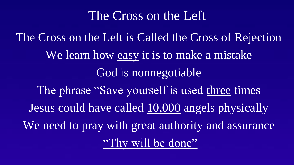### The Cross on the Left

The Cross on the Left is Called the Cross of Rejection We learn how easy it is to make a mistake God is nonnegotiable The phrase "Save yourself is used three times Jesus could have called 10,000 angels physically We need to pray with great authority and assurance "Thy will be done"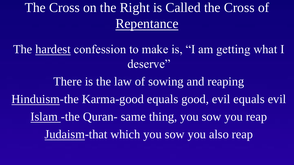# The Cross on the Right is Called the Cross of Repentance

The hardest confession to make is, "I am getting what I deserve"

There is the law of sowing and reaping Hinduism-the Karma-good equals good, evil equals evil Islam -the Quran- same thing, you sow you reap Judaism-that which you sow you also reap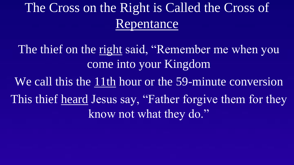# The Cross on the Right is Called the Cross of Repentance

The thief on the right said, "Remember me when you come into your Kingdom

We call this the 11th hour or the 59-minute conversion This thief heard Jesus say, "Father forgive them for they know not what they do."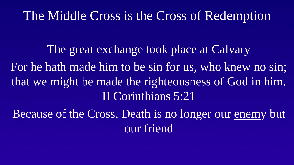## The Middle Cross is the Cross of Redemption

The great exchange took place at Calvary For he hath made him to be sin for us, who knew no sin; that we might be made the righteousness of God in him. II Corinthians 5:21

Because of the Cross, Death is no longer our enemy but our friend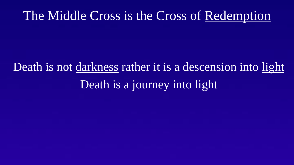## The Middle Cross is the Cross of Redemption

# Death is not darkness rather it is a descension into light Death is a journey into light